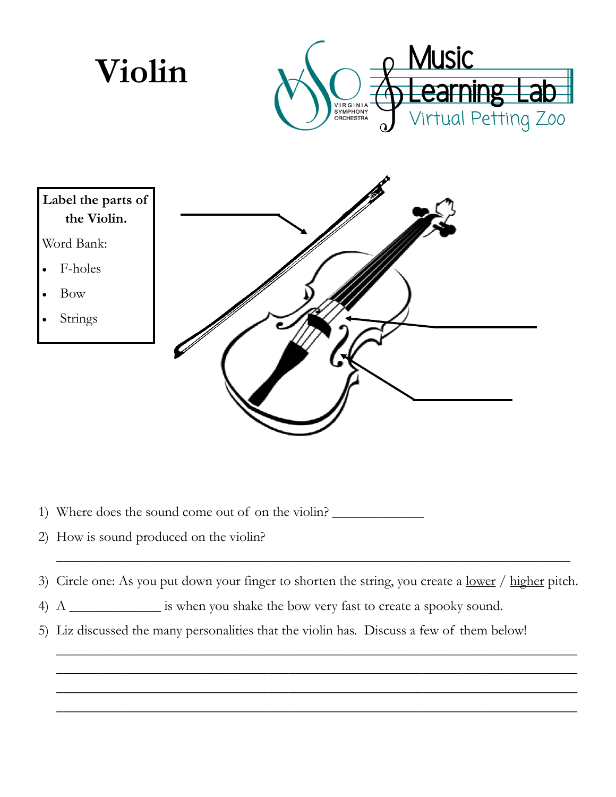

- 1) Where does the sound come out of on the violin?
- 2) How is sound produced on the violin?
- 3) Circle one: As you put down your finger to shorten the string, you create a <u>lower / higher</u> pitch.

\_\_\_\_\_\_\_\_\_\_\_\_\_\_\_\_\_\_\_\_\_\_\_\_\_\_\_\_\_\_\_\_\_\_\_\_\_\_\_\_\_\_\_\_\_\_\_\_\_\_\_\_\_\_\_\_\_\_\_\_\_\_\_\_\_\_\_\_\_\_\_\_\_\_ \_\_\_\_\_\_\_\_\_\_\_\_\_\_\_\_\_\_\_\_\_\_\_\_\_\_\_\_\_\_\_\_\_\_\_\_\_\_\_\_\_\_\_\_\_\_\_\_\_\_\_\_\_\_\_\_\_\_\_\_\_\_\_\_\_\_\_\_\_\_\_\_\_\_ \_\_\_\_\_\_\_\_\_\_\_\_\_\_\_\_\_\_\_\_\_\_\_\_\_\_\_\_\_\_\_\_\_\_\_\_\_\_\_\_\_\_\_\_\_\_\_\_\_\_\_\_\_\_\_\_\_\_\_\_\_\_\_\_\_\_\_\_\_\_\_\_\_\_ \_\_\_\_\_\_\_\_\_\_\_\_\_\_\_\_\_\_\_\_\_\_\_\_\_\_\_\_\_\_\_\_\_\_\_\_\_\_\_\_\_\_\_\_\_\_\_\_\_\_\_\_\_\_\_\_\_\_\_\_\_\_\_\_\_\_\_\_\_\_\_\_\_\_

\_\_\_\_\_\_\_\_\_\_\_\_\_\_\_\_\_\_\_\_\_\_\_\_\_\_\_\_\_\_\_\_\_\_\_\_\_\_\_\_\_\_\_\_\_\_\_\_\_\_\_\_\_\_\_\_\_\_\_\_\_\_\_\_\_\_\_\_\_\_\_\_\_

- 4) A \_\_\_\_\_\_\_\_\_\_\_\_\_ is when you shake the bow very fast to create a spooky sound.
- 5) Liz discussed the many personalities that the violin has. Discuss a few of them below!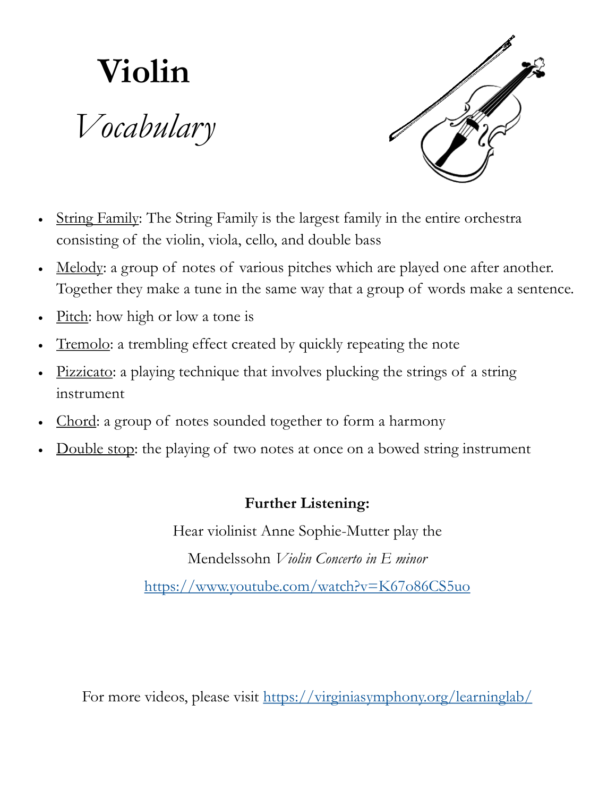## **Violin** *Vocabulary*



- String Family: The String Family is the largest family in the entire orchestra consisting of the violin, viola, cello, and double bass
- Melody: a group of notes of various pitches which are played one after another. Together they make a tune in the same way that a group of words make a sentence.
- Pitch: how high or low a tone is
- Tremolo: a trembling effect created by quickly repeating the note
- Pizzicato: a playing technique that involves plucking the strings of a string instrument
- Chord: a group of notes sounded together to form a harmony
- Double stop: the playing of two notes at once on a bowed string instrument

## **Further Listening:**

Hear violinist Anne Sophie-Mutter play the Mendelssohn *Violin Concerto in E minor* <https://www.youtube.com/watch?v=K67o86CS5uo>

For more videos, please visit <https://virginiasymphony.org/learninglab/>